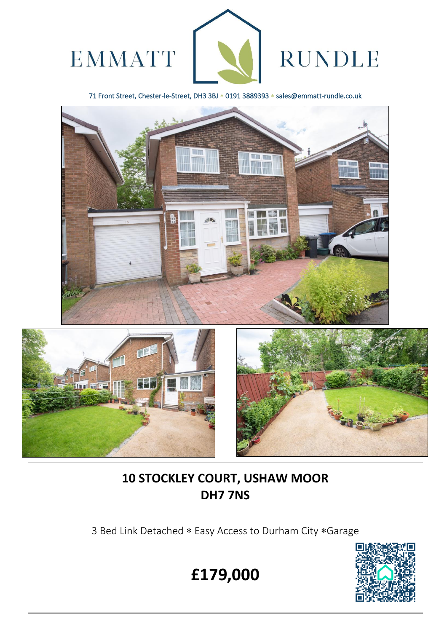

71 Front Street, Chester-le-Street, DH3 3BJ \* 0191 3889393 \* sales@emmatt-rundle.co.uk





L



# **10 STOCKLEY COURT, USHAW MOOR DH7 7NS**

3 Bed Link Detached \* Easy Access to Durham City \* Garage



**£179,000**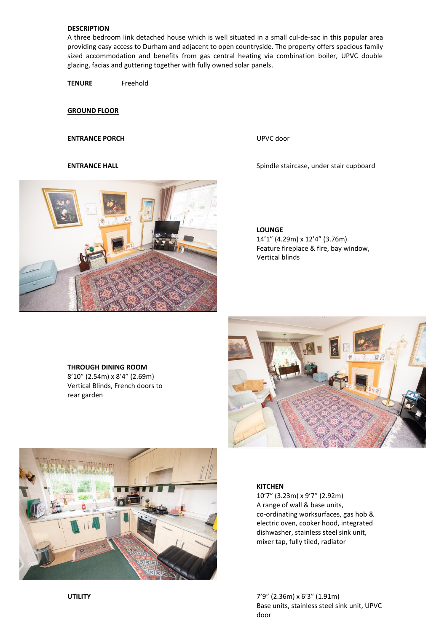## **DESCRIPTION**

A three bedroom link detached house which is well situated in a small cul-de-sac in this popular area providing easy access to Durham and adjacent to open countryside. The property offers spacious family sized accommodation and benefits from gas central heating via combination boiler, UPVC double glazing, facias and guttering together with fully owned solar panels.

**TENURE** Freehold

**GROUND FLOOR** 

### **ENTRANCE PORCH** UPVC door

**ENTRANCE HALL ENTRANCE HALL** Spindle staircase, under stair cupboard



#### **LOUNGE**

14'1" (4.29m) x 12'4" (3.76m) Feature fireplace & fire, bay window, Vertical blinds

# **THROUGH DINING ROOM**

8'10" (2.54m) x 8'4" (2.69m) Vertical Blinds, French doors to rear garden





#### **KITCHEN**

10'7" (3.23m) x 9'7" (2.92m) A range of wall & base units, co-ordinating worksurfaces, gas hob & electric oven, cooker hood, integrated dishwasher, stainless steel sink unit, mixer tap, fully tiled, radiator

**UTILITY** 7'9" (2.36m) x 6'3" (1.91m) Base units, stainless steel sink unit, UPVC door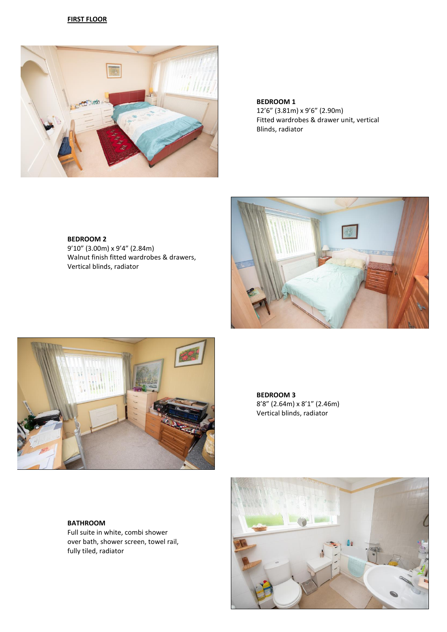#### **FIRST FLOOR**



**BEDROOM 1** 12'6" (3.81m) x 9'6" (2.90m) Fitted wardrobes & drawer unit, vertical Blinds, radiator

### **BEDROOM 2**

9'10" (3.00m) x 9'4" (2.84m) Walnut finish fitted wardrobes & drawers, Vertical blinds, radiator





**BEDROOM 3** 8'8" (2.64m) x 8'1" (2.46m) Vertical blinds, radiator

**BATHROOM**

Full suite in white, combi shower over bath, shower screen, towel rail, fully tiled, radiator